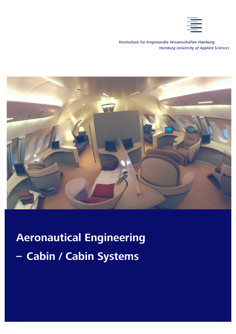Hochschule für Angewandte Wissenschaften Hamburg **Hamburg University of Applied Sciences** 



 **Aeronautical Engineering – Cabin / Cabin Systems**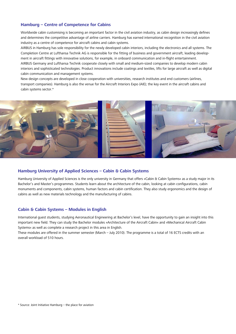#### **Hamburg – Centre of Competence for Cabins**

Worldwide cabin customising is becoming an important factor in the civil aviation industry, as cabin design increasingly defines and determines the competitive advantage of airline carriers. Hamburg has earned international recognition in the civil aviation industry as a centre of competence for aircraft cabins and cabin systems.

AIRBUS in Hamburg has sole responsibility for the newly developed cabin interiors, including the electronics and all systems. The Completion Centre at Lufthansa Technik AG is responsible for the fitting of business and government aircraft, leading development in aircraft fittings with innovative solutions, for example, in onboard communication and in-flight entertainment. AIRBUS Germany and Lufthansa Technik cooperate closely with small and medium-sized companies to develop modern cabin interiors and sophisticated technologies. Product innovations include coatings and textiles, lifts for large aircraft as well as digital cabin communication and management systems.

New design concepts are developed in close cooperation with universities, research institutes and end customers (airlines, transport companies). Hamburg is also the venue for the Aircraft Interiors Expo (AIE); the key event in the aircraft cabins and cabin systems sector.\*



## **Hamburg University of Applied Sciences – Cabin & Cabin Systems**

Hamburg University of Applied Sciences is the only university in Germany that offers »Cabin & Cabin Systems« as a study major in its Bachelor's and Master's programmes. Students learn about the architecture of the cabin, looking at cabin configurations, cabin monuments and components, cabin systems, human factors and cabin certification. They also study ergonomics and the design of cabins as well as new materials technology and the manufacturing of cabins.

#### **Cabin & Cabin Systems – Modules in English**

International guest students, studying Aeronautical Engineering at Bachelor's level, have the opportunity to gain an insight into this important new field. They can study the Bachelor modules »Architecture of the Aircraft Cabin« and »Mechanical Aircraft Cabin Systems« as well as complete a research project in this area in English.

These modules are offered in the summer semester (March – July 2010). The programme is a total of 16 ECTS credits with an overall workload of 510 hours.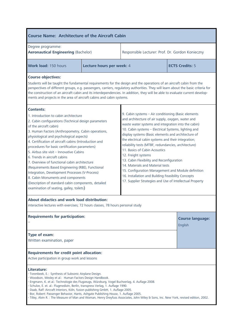| <b>Course Name: Architecture of the Aircraft Cabin</b>                                                                                                                                                                                                                                                                                                                                                                                                                                                                                                                                                                                                                                                                              |                                                                                                                                                                                                                                                                                                                                                                                                                                                                                                                                                                                                                                                                                                                |                                                  |  |                                    |  |  |
|-------------------------------------------------------------------------------------------------------------------------------------------------------------------------------------------------------------------------------------------------------------------------------------------------------------------------------------------------------------------------------------------------------------------------------------------------------------------------------------------------------------------------------------------------------------------------------------------------------------------------------------------------------------------------------------------------------------------------------------|----------------------------------------------------------------------------------------------------------------------------------------------------------------------------------------------------------------------------------------------------------------------------------------------------------------------------------------------------------------------------------------------------------------------------------------------------------------------------------------------------------------------------------------------------------------------------------------------------------------------------------------------------------------------------------------------------------------|--------------------------------------------------|--|------------------------------------|--|--|
| Degree programme:<br><b>Aeronautical Engineering (Bachelor)</b>                                                                                                                                                                                                                                                                                                                                                                                                                                                                                                                                                                                                                                                                     |                                                                                                                                                                                                                                                                                                                                                                                                                                                                                                                                                                                                                                                                                                                | Responsible Lecturer: Prof. Dr. Gordon Konieczny |  |                                    |  |  |
| Work load: 150 hours                                                                                                                                                                                                                                                                                                                                                                                                                                                                                                                                                                                                                                                                                                                | Lecture hours per week: 4                                                                                                                                                                                                                                                                                                                                                                                                                                                                                                                                                                                                                                                                                      |                                                  |  | <b>ECTS Credits: 5</b>             |  |  |
| <b>Course objectives:</b><br>Students will be taught the fundamental requirements for the design and the operations of an aircraft cabin from the<br>perspectives of different groups, e.g. passengers, carriers, regulatory authorities. They will learn about the basic criteria for<br>the construction of an aircraft cabin and its interdependencies. In addition, they will be able to evaluate current develop-<br>ments and projects in the area of aircraft cabins and cabin systems.                                                                                                                                                                                                                                      |                                                                                                                                                                                                                                                                                                                                                                                                                                                                                                                                                                                                                                                                                                                |                                                  |  |                                    |  |  |
| <b>Contents:</b><br>1. Introduction to cabin architecture<br>2. Cabin configurations (Technical design parameters<br>of the aircraft cabin)<br>3. Human Factors (Anthropometry, Cabin operations,<br>physiological and psychological aspects)<br>4. Certification of aircraft cabins (Introduction and<br>procedures for basic certification parameters)<br>5. Airbus site visit - Innovative Cabins<br>6. Trends in aircraft cabins<br>7. Overview of functional cabin architecture<br>(Requirements Based Engineering (RBE), Functional<br>Integration, Development Processes (V-Process)<br>8. Cabin Monuments and components<br>(Description of standard cabin components, detailed<br>examination of seating, galley, toilets) | 9. Cabin systems - Air conditioning (Basic elements<br>and architecture of air supply, oxygen, water and<br>waste water systems and integration into the cabin)<br>10. Cabin systems - Electrical Systems, lighting and<br>display systems (Basic elements and architecture of<br>the electrical cabin systems and their integration;<br>reliability tests (MTBF, redundancies, architecture)<br>11. Basics of Cabin Acoustics<br>12. Freight systems<br>13. Cabin Flexibility and Reconfiguration<br>14. Materials and Material tests<br>15. Configuration Management and Module definition<br>16. Installation and Building Feasibility Concepts<br>17. Supplier Strategies and Use of Intellectual Property |                                                  |  |                                    |  |  |
| About didactics and work load distribution:<br>interactive lectures with exercises; 72 hours classes, 78 hours personal study                                                                                                                                                                                                                                                                                                                                                                                                                                                                                                                                                                                                       |                                                                                                                                                                                                                                                                                                                                                                                                                                                                                                                                                                                                                                                                                                                |                                                  |  |                                    |  |  |
| <b>Requirements for participation:</b>                                                                                                                                                                                                                                                                                                                                                                                                                                                                                                                                                                                                                                                                                              |                                                                                                                                                                                                                                                                                                                                                                                                                                                                                                                                                                                                                                                                                                                |                                                  |  | <b>Course language:</b><br>English |  |  |
| Type of exam:<br>Written examination, paper                                                                                                                                                                                                                                                                                                                                                                                                                                                                                                                                                                                                                                                                                         |                                                                                                                                                                                                                                                                                                                                                                                                                                                                                                                                                                                                                                                                                                                |                                                  |  |                                    |  |  |
| <b>Requirements for credit point allocation:</b><br>Active participation in group work and lessons                                                                                                                                                                                                                                                                                                                                                                                                                                                                                                                                                                                                                                  |                                                                                                                                                                                                                                                                                                                                                                                                                                                                                                                                                                                                                                                                                                                |                                                  |  |                                    |  |  |
| Literature:<br>- Torenbeek, E.: Synthesis of Subsonic Airplane Design.<br>- Woodson, Wesley et al.: Human Factors Design Handbook.<br>- Engmann, K. et al.: Technologie des Flugzeugs, Würzburg, Vogel Buchverlag, 4. Auflage 2008.<br>- Schulze, E. et. al.: Flugmedizin, Berlin, transpress Verlag, 1. Auflage 1990.<br>- Daab, Ralf: Aircraft Interiors, Köln, fusion publishing GmbH, 1. Auflage 2005.<br>- Bor, Robert: Passenger Behavior, Hants, Ashgate Publishing House, 1. Auflage 2005.<br>- Tilley, Alvin R. : The Measure of Man and Woman, Henry Dreyfuss Associates, John Wiley & Sons, Inc. New York, revised edition, 2002.                                                                                        |                                                                                                                                                                                                                                                                                                                                                                                                                                                                                                                                                                                                                                                                                                                |                                                  |  |                                    |  |  |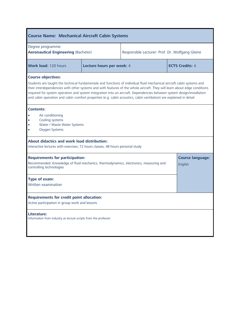| <b>Course Name: Mechanical Aircraft Cabin Systems</b>                                                                                                                                                                                                                                                                                                                                                                                                                                                                             |                           |                                                 |                                    |  |  |  |
|-----------------------------------------------------------------------------------------------------------------------------------------------------------------------------------------------------------------------------------------------------------------------------------------------------------------------------------------------------------------------------------------------------------------------------------------------------------------------------------------------------------------------------------|---------------------------|-------------------------------------------------|------------------------------------|--|--|--|
| Degree programme:<br><b>Aeronautical Engineering (Bachelor)</b>                                                                                                                                                                                                                                                                                                                                                                                                                                                                   |                           | Responsible Lecturer: Prof. Dr. Wolfgang Gleine |                                    |  |  |  |
| <b>Work load: 120 hours</b>                                                                                                                                                                                                                                                                                                                                                                                                                                                                                                       | Lecture hours per week: 4 | <b>ECTS Credits: 4</b>                          |                                    |  |  |  |
| <b>Course objectives:</b><br>Students are taught the technical fundamentals and functions of individual fluid mechanical aircraft cabin systems and<br>their interdependencies with other systems and with features of the whole aircraft. They will learn about edge conditions<br>required for system operation and system integration into an aircraft. Dependencies between system design/installation<br>and cabin operation and cabin comfort properties (e.g. cabin acoustics, cabin ventilation) are explained in detail. |                           |                                                 |                                    |  |  |  |
| <b>Contents:</b><br>Air conditioning<br>Cooling systems<br>$\bullet$<br>Water / Waste Water Systems<br>$\bullet$<br>Oxygen Systems<br>$\bullet$                                                                                                                                                                                                                                                                                                                                                                                   |                           |                                                 |                                    |  |  |  |
| <b>About didactics and work load distribution:</b><br>interactive lectures with exercises; 72 hours classes, 48 hours personal study                                                                                                                                                                                                                                                                                                                                                                                              |                           |                                                 |                                    |  |  |  |
| <b>Requirements for participation:</b><br>Recommended: Knowledge of fluid mechanics, thermodynamics, electronics, measuring and<br>controlling technologies                                                                                                                                                                                                                                                                                                                                                                       |                           |                                                 | <b>Course language:</b><br>English |  |  |  |
| Type of exam:<br>Written examination                                                                                                                                                                                                                                                                                                                                                                                                                                                                                              |                           |                                                 |                                    |  |  |  |
| <b>Requirements for credit point allocation:</b><br>Active participation in group work and lessons                                                                                                                                                                                                                                                                                                                                                                                                                                |                           |                                                 |                                    |  |  |  |
| Literature:<br>Information from industry as lecture scripts from the professor                                                                                                                                                                                                                                                                                                                                                                                                                                                    |                           |                                                 |                                    |  |  |  |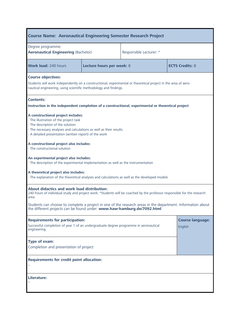# **Course Name: Aeronautical Engineering Semester Research Project**

| Degree programme:<br><b>Aeronautical Engineering (Bachelor)</b>                                                                                                                                                                                   |                           | Responsible Lecturer: * |                                    |  |  |  |
|---------------------------------------------------------------------------------------------------------------------------------------------------------------------------------------------------------------------------------------------------|---------------------------|-------------------------|------------------------------------|--|--|--|
| <b>Work load: 240 hours</b>                                                                                                                                                                                                                       | Lecture hours per week: 8 |                         | <b>ECTS Credits: 8</b>             |  |  |  |
| <b>Course objectives:</b><br>Students will work independently on a constructional, experimental or theoretical project in the area of aero-<br>nautical engineering, using scientific methodology and findings.                                   |                           |                         |                                    |  |  |  |
| <b>Contents:</b><br>Instruction in the independent completion of a constructional, experimental or theoretical project                                                                                                                            |                           |                         |                                    |  |  |  |
| A constructional project includes:<br>- The illustration of the project task<br>- The description of the solution<br>- The necessary analyses and calculations as well as their results<br>- A detailed presentation (written report) of the work |                           |                         |                                    |  |  |  |
| A constructional project also includes:<br>- The constructional solution                                                                                                                                                                          |                           |                         |                                    |  |  |  |
| An experimental project also includes:<br>- The description of the experimental implementation as well as the instrumentation                                                                                                                     |                           |                         |                                    |  |  |  |
| A theoretical project also includes:<br>- The explanation of the theoretical analyses and calculations as well as the developed models                                                                                                            |                           |                         |                                    |  |  |  |
| About didactics and work load distribution:<br>240 hours of individual study and project work. *Students will be coached by the professor responsible for the research<br>area.                                                                   |                           |                         |                                    |  |  |  |
| Students can choose to complete a project in one of the research areas in the department. Information about<br>the different projects can be found under: www.haw-hamburg.de/7092.html                                                            |                           |                         |                                    |  |  |  |
| <b>Requirements for participation:</b><br>Successful completion of year 1 of an undergraduate degree programme in aeronautical<br>engineering.                                                                                                    |                           |                         | <b>Course language:</b><br>English |  |  |  |
| Type of exam:<br>Completion and presentation of project                                                                                                                                                                                           |                           |                         |                                    |  |  |  |
| <b>Requirements for credit point allocation:</b>                                                                                                                                                                                                  |                           |                         |                                    |  |  |  |
| Literature:                                                                                                                                                                                                                                       |                           |                         |                                    |  |  |  |